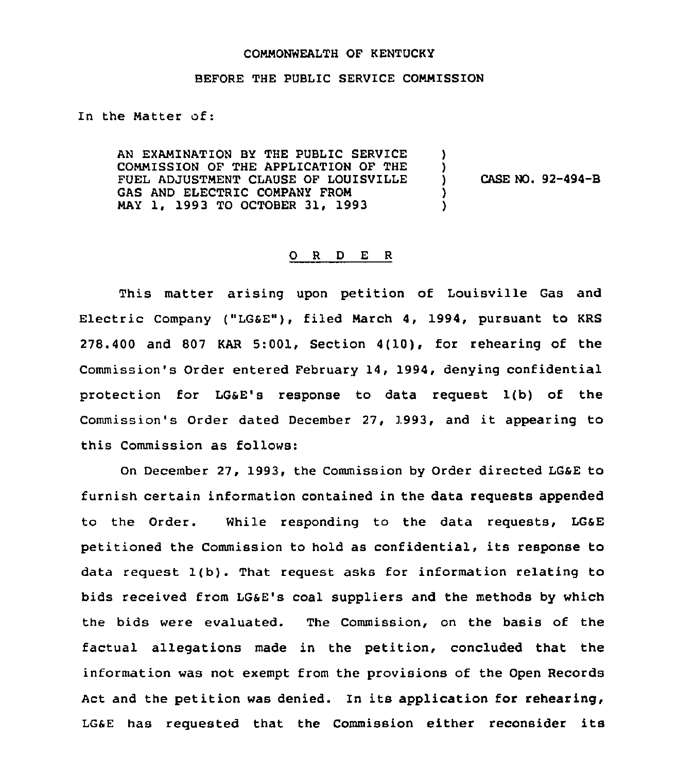## COMMONWEALTH OF KENTUCKY

## BEFORE THE PUBLIC SERVICE COMMISSION

## In the Matter of:

AN EXAMINATION BY THE PUBLIC SERVICE COMMISSION OF THE APPLICATION OF THE FUEL ADJUSTMENT CLAUSE OF LOUISVILLE GAS AND ELECTRIC COMPANY FROM MAY 1, 1993 TO OCTOBER 31, 1993 ) ) ) CASE NO. 92-494-B ) )

## 0 <sup>R</sup> <sup>D</sup> E <sup>R</sup>

This matter arising upon petition of Louisville Gas and Electric Company ("LGSE"), filed March 4, 1994, pursuant to KRS 278.400 and 807 KAR 5:00l, Section 4(10), for rehearing of the Commission's Order entered February 14, 1994, denying confidential protection for LGaE's response to data request 1(b) of the Commission's Order dated December 27, 3993, and it appearing to this Commission as follows:

On December 27, 1993, the Commission by Order directed LGaE to furnish certain information contained in the data requests appended to the Order. While responding to the data requests, LGaE petitioned the Commission to hold as confidential, its response to data request 1(b). That request asks for information relating to bids received from LGSE's coal suppliers and the methods by which the bids were evaluated. The Commission, on the basis of the factual allegations made in the petition, concluded that the information was not exempt from the provisions of the Open Records Act and the petition was denied. In its application for rehearing, LGSE has requested that the commission either reconsider its